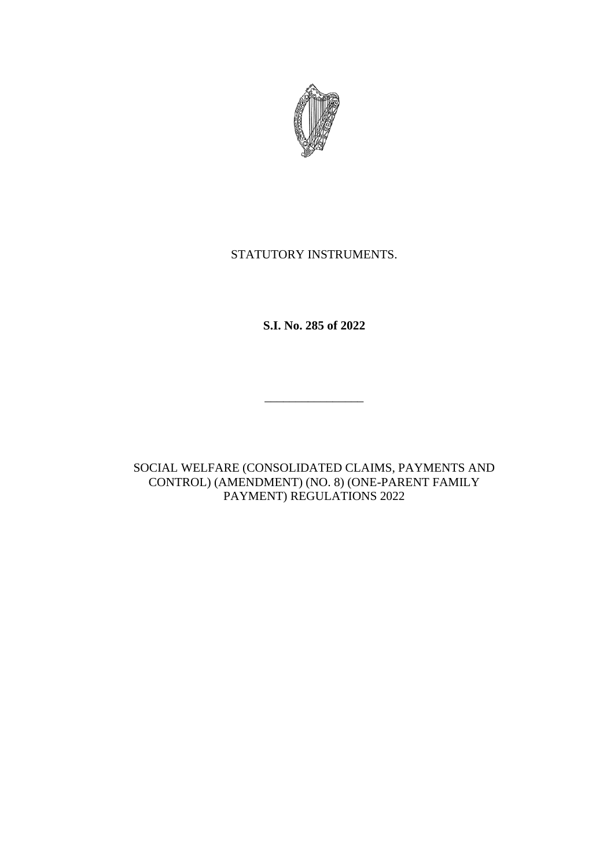

# STATUTORY INSTRUMENTS.

**S.I. No. 285 of 2022**

\_\_\_\_\_\_\_\_\_\_\_\_\_\_\_\_

SOCIAL WELFARE (CONSOLIDATED CLAIMS, PAYMENTS AND CONTROL) (AMENDMENT) (NO. 8) (ONE-PARENT FAMILY PAYMENT) REGULATIONS 2022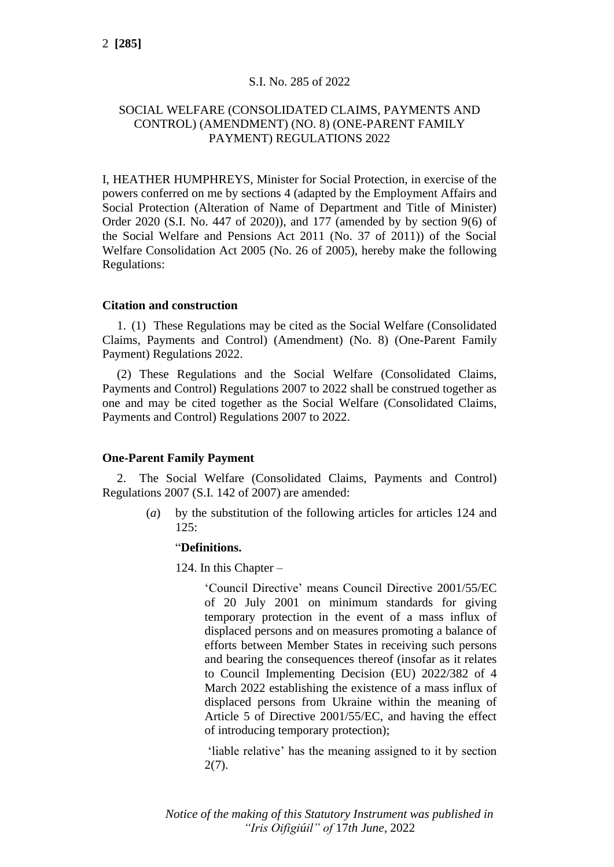# S.I. No. 285 of 2022

# SOCIAL WELFARE (CONSOLIDATED CLAIMS, PAYMENTS AND CONTROL) (AMENDMENT) (NO. 8) (ONE-PARENT FAMILY PAYMENT) REGULATIONS 2022

I, HEATHER HUMPHREYS, Minister for Social Protection, in exercise of the powers conferred on me by sections 4 (adapted by the Employment Affairs and Social Protection (Alteration of Name of Department and Title of Minister) Order 2020 (S.I. No. 447 of 2020)), and 177 (amended by by section 9(6) of the Social Welfare and Pensions Act 2011 (No. 37 of 2011)) of the Social Welfare Consolidation Act 2005 (No. 26 of 2005), hereby make the following Regulations:

### **Citation and construction**

1. (1) These Regulations may be cited as the Social Welfare (Consolidated Claims, Payments and Control) (Amendment) (No. 8) (One-Parent Family Payment) Regulations 2022.

(2) These Regulations and the Social Welfare (Consolidated Claims, Payments and Control) Regulations 2007 to 2022 shall be construed together as one and may be cited together as the Social Welfare (Consolidated Claims, Payments and Control) Regulations 2007 to 2022.

## **One-Parent Family Payment**

2. The Social Welfare (Consolidated Claims, Payments and Control) Regulations 2007 (S.I. 142 of 2007) are amended:

> (*a*) by the substitution of the following articles for articles 124 and  $125:$

#### "**Definitions.**

124. In this Chapter –

'Council Directive' means Council Directive 2001/55/EC of 20 July 2001 on minimum standards for giving temporary protection in the event of a mass influx of displaced persons and on measures promoting a balance of efforts between Member States in receiving such persons and bearing the consequences thereof (insofar as it relates to Council Implementing Decision (EU) 2022/382 of 4 March 2022 establishing the existence of a mass influx of displaced persons from Ukraine within the meaning of Article 5 of Directive 2001/55/EC, and having the effect of introducing temporary protection);

'liable relative' has the meaning assigned to it by section 2(7).

*Notice of the making of this Statutory Instrument was published in "Iris Oifigiúil" of* 17*th June,* 2022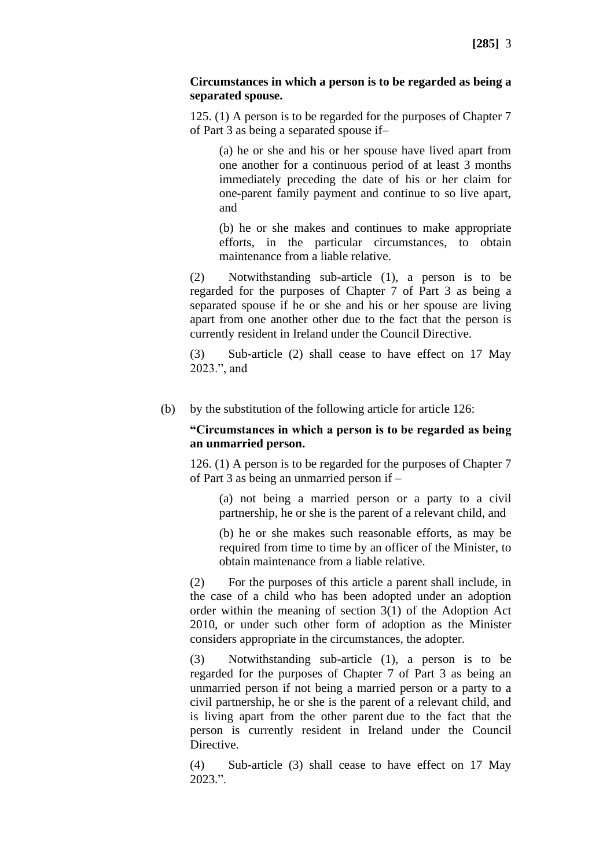### **Circumstances in which a person is to be regarded as being a separated spouse.**

125. (1) A person is to be regarded for the purposes of Chapter 7 of Part 3 as being a separated spouse if–

(a) he or she and his or her spouse have lived apart from one another for a continuous period of at least 3 months immediately preceding the date of his or her claim for one-parent family payment and continue to so live apart, and

(b) he or she makes and continues to make appropriate efforts, in the particular circumstances, to obtain maintenance from a liable relative.

(2) Notwithstanding sub-article (1), a person is to be regarded for the purposes of Chapter 7 of Part 3 as being a separated spouse if he or she and his or her spouse are living apart from one another other due to the fact that the person is currently resident in Ireland under the Council Directive.

(3) Sub-article (2) shall cease to have effect on 17 May 2023.", and

(b) by the substitution of the following article for article 126:

### **"Circumstances in which a person is to be regarded as being an unmarried person.**

126. (1) A person is to be regarded for the purposes of Chapter 7 of Part 3 as being an unmarried person if –

(a) not being a married person or a party to a civil partnership, he or she is the parent of a relevant child, and

(b) he or she makes such reasonable efforts, as may be required from time to time by an officer of the Minister, to obtain maintenance from a liable relative.

(2) For the purposes of this article a parent shall include, in the case of a child who has been adopted under an adoption order within the meaning of section 3(1) of the Adoption Act 2010, or under such other form of adoption as the Minister considers appropriate in the circumstances, the adopter.

(3) Notwithstanding sub-article (1), a person is to be regarded for the purposes of Chapter 7 of Part 3 as being an unmarried person if not being a married person or a party to a civil partnership, he or she is the parent of a relevant child, and is living apart from the other parent due to the fact that the person is currently resident in Ireland under the Council Directive.

(4) Sub-article (3) shall cease to have effect on 17 May 2023.".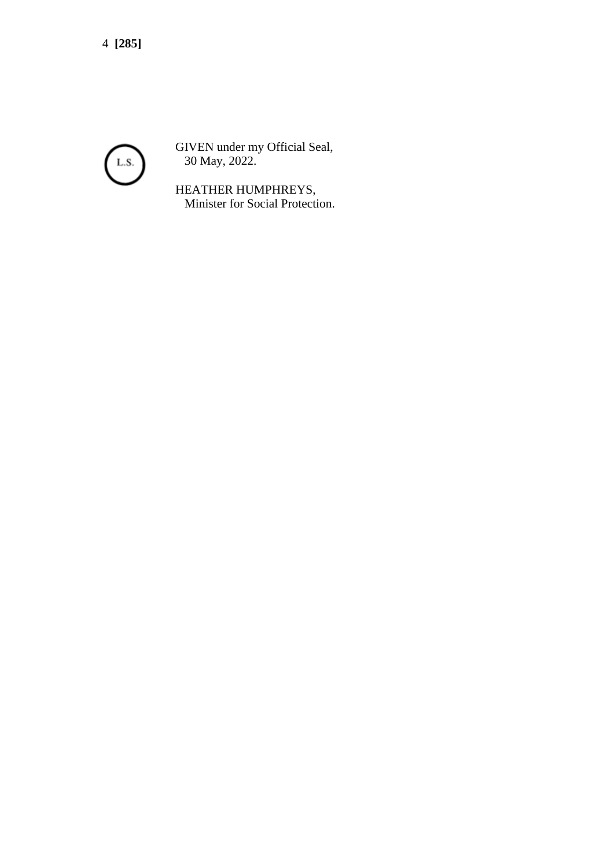4 **[285]**



GIVEN under my Official Seal, 30 May, 2022.

HEATHER HUMPHREYS, Minister for Social Protection.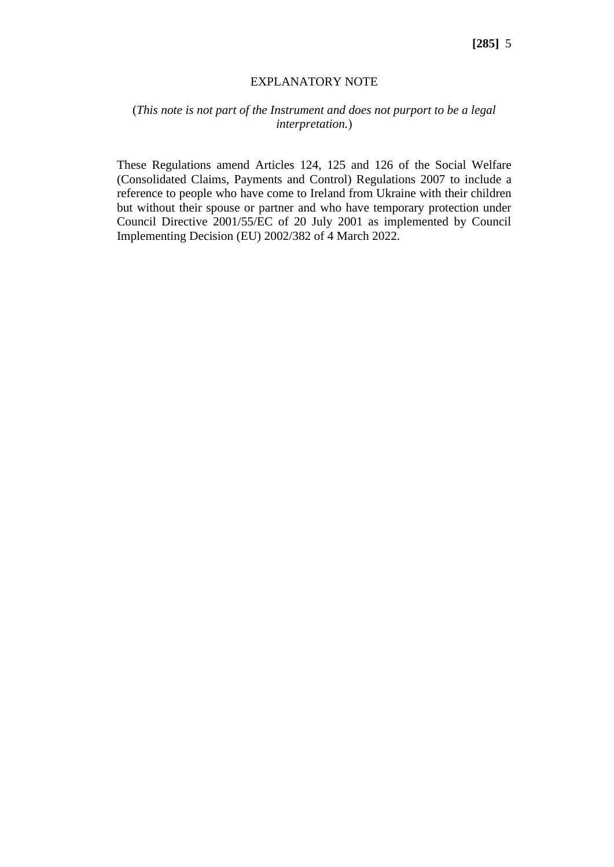#### EXPLANATORY NOTE

# (*This note is not part of the Instrument and does not purport to be a legal interpretation.*)

These Regulations amend Articles 124, 125 and 126 of the Social Welfare (Consolidated Claims, Payments and Control) Regulations 2007 to include a reference to people who have come to Ireland from Ukraine with their children but without their spouse or partner and who have temporary protection under Council Directive 2001/55/EC of 20 July 2001 as implemented by Council Implementing Decision (EU) 2002/382 of 4 March 2022.